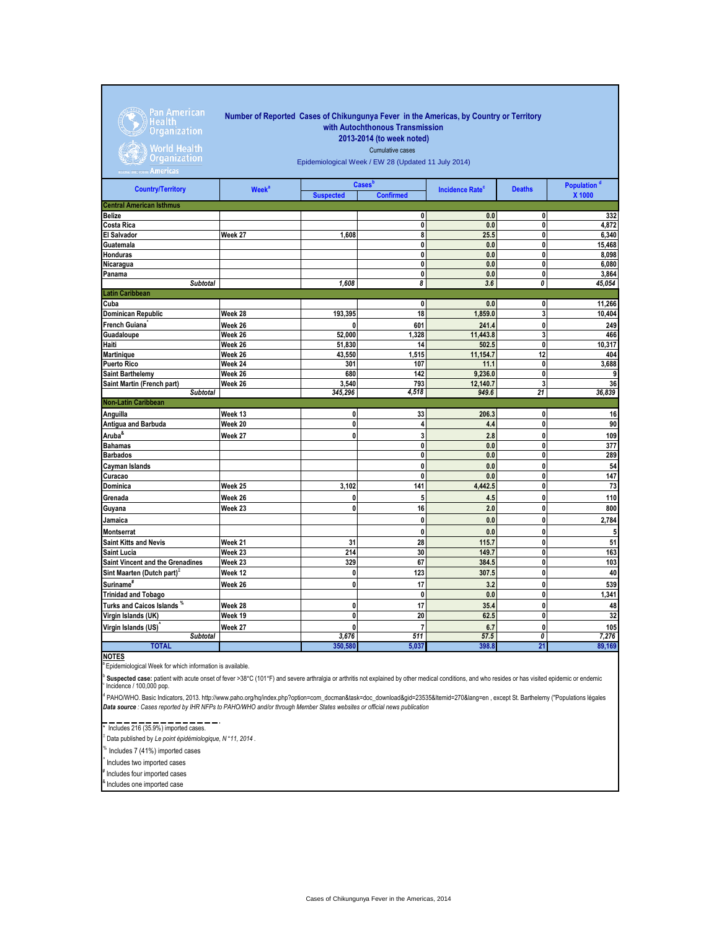Pan American<br>Health<br>Organization

World Health<br>Organization

## **Number of Reported Cases of Chikungunya Fever in the Americas, by Country or Territory with Autochthonous Transmission 2013-2014 (to week noted)**

Cumulative cases

Epidemiological Week / EW 28 (Updated 11 July 2014)

| <b>Country/Territory</b>               | <b>Week<sup>a</sup></b> | <b>Cases</b> b   |                  | <b>Incidence Rate<sup>c</sup></b> | <b>Deaths</b> | Population <sup>d</sup> |
|----------------------------------------|-------------------------|------------------|------------------|-----------------------------------|---------------|-------------------------|
|                                        |                         | <b>Suspected</b> | <b>Confirmed</b> |                                   |               | X 1000                  |
| <b>Central American Isthmus</b>        |                         |                  |                  |                                   |               |                         |
| <b>Belize</b>                          |                         |                  | 0                | 0.0                               | 0             | 332                     |
| <b>Costa Rica</b>                      |                         |                  | 0                | 0.0                               | 0             | 4,872                   |
| <b>El Salvador</b>                     | Week 27                 | 1,608            | 8                | 25.5                              | 0             | 6,340                   |
| Guatemala                              |                         |                  | 0                | 0.0                               | 0             | 15,468                  |
| Honduras                               |                         |                  | 0                | 0.0                               | 0             | 8,098                   |
| Nicaragua                              |                         |                  | 0                | 0.0                               | 0             | 6,080                   |
| Panama                                 |                         |                  | 0                | 0.0                               | 0             | 3,864                   |
| <b>Subtotal</b>                        |                         | 1.608            | 8                | 3.6                               | 0             | 45,054                  |
| <b>Latin Caribbean</b>                 |                         |                  |                  |                                   |               |                         |
| Cuba                                   |                         |                  | 0                | 0.0                               | 0             | 11,266                  |
| <b>Dominican Republic</b>              | Week 28                 | 193,395          | 18               | 1,859.0                           | 3             | 10,404                  |
| French Guiana                          | Week 26                 | 0                | 601              | 241.4                             | 0             | 249                     |
| Guadaloupe                             | Week 26                 | 52,000           | 1,328            | 11,443.8                          | 3             | 466                     |
| Haiti                                  | Week 26                 | 51,830           | 14               | 502.5                             | 0             | 10,317                  |
| <b>Martinique</b>                      | Week 26                 | 43,550           | 1,515            | 11,154.7                          | 12            | 404                     |
| <b>Puerto Rico</b>                     | Week 24                 | 301              | 107              | 11.1                              | 0             | 3,688                   |
| <b>Saint Barthelemy</b>                | Week 26                 | 680              | 142              | 9,236.0                           | 0             | 9                       |
| Saint Martin (French part)             | Week 26                 | 3,540            | 793              | 12,140.7                          | 3             | 36                      |
| <b>Subtotal</b>                        |                         | 345,296          | 4,518            | 949.6                             | 21            | 36,839                  |
| <b>Non-Latin Caribbean</b>             |                         |                  |                  |                                   |               |                         |
| Anguilla                               | Week 13                 | 0                | 33               | 206.3                             | 0             | 16                      |
| <b>Antigua and Barbuda</b>             | Week 20                 | 0                | 4                | 4.4                               | 0             | 90                      |
| Aruba <sup>&amp;</sup>                 | Week 27                 | 0                | 3                | 2.8                               | 0             | 109                     |
| <b>Bahamas</b>                         |                         |                  | 0                | 0.0                               | 0             | 377                     |
| <b>Barbados</b>                        |                         |                  | 0                | 0.0                               | 0             | 289                     |
| Cayman Islands                         |                         |                  | 0                | 0.0                               | 0             | 54                      |
| Curacao                                |                         |                  | 0                | 0.0                               | 0             | 147                     |
| Dominica                               | Week 25                 | 3,102            | 141              | 4,442.5                           | 0             | 73                      |
| Grenada                                | Week 26                 | 0                | 5                | 4.5                               | 0             | 110                     |
| Guyana                                 | Week 23                 | $\mathbf{0}$     | 16               | 2.0                               | $\mathbf 0$   | 800                     |
| Jamaica                                |                         |                  | 0                | 0.0                               | 0             | 2,784                   |
| <b>Montserrat</b>                      |                         |                  | 0                | 0.0                               | 0             | $5\phantom{.0}$         |
| <b>Saint Kitts and Nevis</b>           | Week 21                 | 31               | 28               | 115.7                             | 0             | 51                      |
| <b>Saint Lucia</b>                     | Week 23                 | $\overline{214}$ | 30               | 149.7                             | 0             | 163                     |
| Saint Vincent and the Grenadines       | Week 23                 | 329              | 67               | 384.5                             | 0             | 103                     |
| Sint Maarten (Dutch part) <sup>3</sup> | Week 12                 | 0                | 123              | 307.5                             | 0             | 40                      |
| Suriname <sup>#</sup>                  | Week 26                 | 0                | 17               | 3.2                               | 0             | 539                     |
| <b>Trinidad and Tobago</b>             |                         |                  | 0                | 0.0                               | 0             | 1,341                   |
| Turks and Caicos Islands %             | Week 28                 | 0                | 17               | 35.4                              | 0             | 48                      |
| Virgin Islands (UK)                    | Week 19                 | 0                | 20               | 62.5                              | 0             | 32                      |
| Virgin Islands (US)                    | Week 27                 | 0                | $\overline{7}$   | 6.7                               | 0             | 105                     |
| <b>Subtotal</b>                        |                         | 3,676            | 511              | 57.5                              | 0             | 7,276                   |
| <b>TOTAL</b>                           |                         | 350,580          | 5,037            | 398.8                             | 21            | 89,169                  |
|                                        |                         |                  |                  |                                   |               |                         |

**NOTES**

**Epidemiological Week for which information is available.** 

<sup>b</sup> Suspected case: patient with acute onset of fever >38°C (101°F) and severe arthralgia or arthritis not explained by other medical conditions, and who resides or has visited epidemic or endemic<br><sup>c</sup> Incidence / 100,000

d PAHO/WHO. Basic Indicators, 2013. http://www.paho.org/hq/index.php?option=com\_docman&task=doc\_download&gid=23535&Itemid=270&lang=en , except St. Barthelemy ("Populations légales *Data source : Cases reported by IHR NFPs to PAHO/WHO and/or through Member States websites or official news publication* 

\* Includes 216 (35.9%) imported cases.

Ξ Data published by *Le point épidémiologique, N* °*11, 2014* .

% Includes 7 (41%) imported cases

^ Includes two imported cases

f Includes four imported cases

**Includes one imported case** 

Cases of Chikungunya Fever in the Americas, 2014